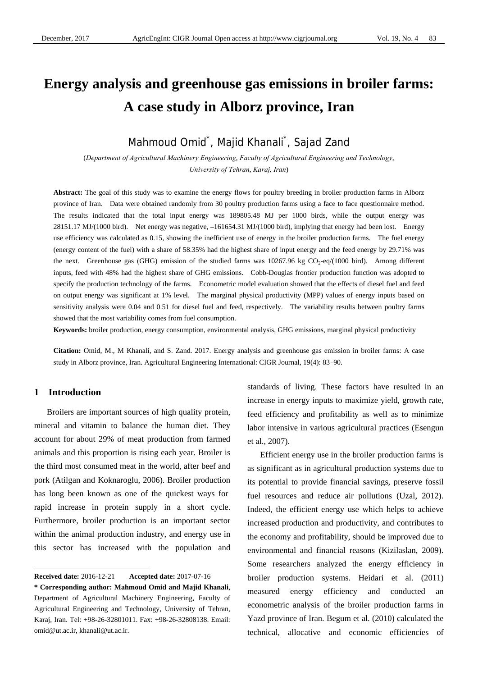# **Energy analysis and greenhouse gas emissions in broiler farms: A case study in Alborz province, Iran**

Mahmoud Omid<sup>\*</sup>, Majid Khanali<sup>\*</sup>, Sajad Zand

(*Department of Agricultural Machinery Engineering*, *Faculty of Agricultural Engineering and Technology*, *University of Tehran*, *Karaj, Iran*)

**Abstract:** The goal of this study was to examine the energy flows for poultry breeding in broiler production farms in Alborz province of Iran. Data were obtained randomly from 30 poultry production farms using a face to face questionnaire method. The results indicated that the total input energy was 189805.48 MJ per 1000 birds, while the output energy was 28151.17 MJ/(1000 bird). Net energy was negative, –161654.31 MJ/(1000 bird), implying that energy had been lost. Energy use efficiency was calculated as 0.15, showing the inefficient use of energy in the broiler production farms. The fuel energy (energy content of the fuel) with a share of 58.35% had the highest share of input energy and the feed energy by 29.71% was the next. Greenhouse gas (GHG) emission of the studied farms was  $10267.96$  kg  $CO<sub>2</sub>-eq/(1000)$  bird). Among different inputs, feed with 48% had the highest share of GHG emissions. Cobb-Douglas frontier production function was adopted to specify the production technology of the farms. Econometric model evaluation showed that the effects of diesel fuel and feed on output energy was significant at 1% level. The marginal physical productivity (MPP) values of energy inputs based on sensitivity analysis were 0.04 and 0.51 for diesel fuel and feed, respectively. The variability results between poultry farms showed that the most variability comes from fuel consumption.

**Keywords:** broiler production, energy consumption, environmental analysis, GHG emissions, marginal physical productivity

**Citation:** Omid, M., M Khanali, and S. Zand. 2017. Energy analysis and greenhouse gas emission in broiler farms: A case study in Alborz province, Iran. Agricultural Engineering International: CIGR Journal, 19(4): 83–90.

# **1 Introduction**

 $\overline{a}$ 

Broilers are important sources of high quality protein, mineral and vitamin to balance the human diet. They account for about 29% of meat production from farmed animals and this proportion is rising each year. Broiler is the third most consumed meat in the world, after beef and pork (Atilgan and Koknaroglu, 2006). Broiler production has long been known as one of the quickest ways for rapid increase in protein supply in a short cycle. Furthermore, broiler production is an important sector within the animal production industry, and energy use in this sector has increased with the population and

standards of living. These factors have resulted in an increase in energy inputs to maximize yield, growth rate, feed efficiency and profitability as well as to minimize labor intensive in various agricultural practices (Esengun et al., 2007).

Efficient energy use in the broiler production farms is as significant as in agricultural production systems due to its potential to provide financial savings, preserve fossil fuel resources and reduce air pollutions (Uzal, 2012). Indeed, the efficient energy use which helps to achieve increased production and productivity, and contributes to the economy and profitability, should be improved due to environmental and financial reasons (Kizilaslan, 2009). Some researchers analyzed the energy efficiency in broiler production systems. Heidari et al. (2011) measured energy efficiency and conducted an econometric analysis of the broiler production farms in Yazd province of Iran. Begum et al. (2010) calculated the technical, allocative and economic efficiencies of

**Received date:** 2016-12-21 **Accepted date:** 2017-07-16

**<sup>\*</sup> Corresponding author: Mahmoud Omid and Majid Khanali**, Department of Agricultural Machinery Engineering, Faculty of Agricultural Engineering and Technology, University of Tehran, Karaj, Iran. Tel: +98-26-32801011. Fax: +98-26-32808138. Email: omid@ut.ac.ir, khanali@ut.ac.ir.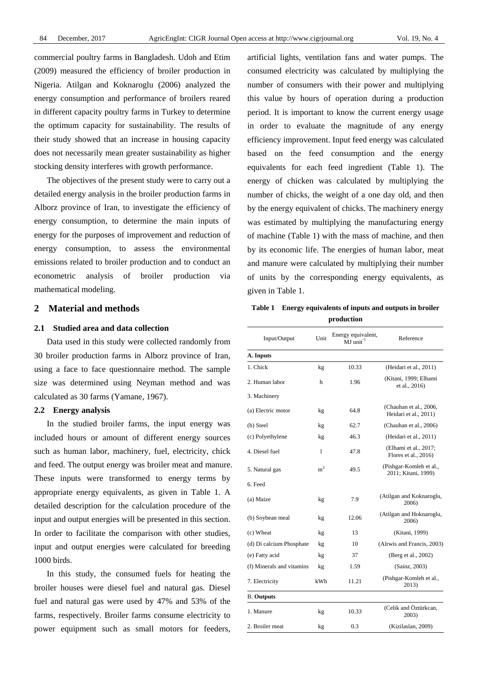commercial poultry farms in Bangladesh. Udoh and Etim (2009) measured the efficiency of broiler production in Nigeria. Atilgan and Koknaroglu (2006) analyzed the energy consumption and performance of broilers reared in different capacity poultry farms in Turkey to determine the optimum capacity for sustainability. The results of their study showed that an increase in housing capacity does not necessarily mean greater sustainability as higher stocking density interferes with growth performance.

The objectives of the present study were to carry out a detailed energy analysis in the broiler production farms in Alborz province of Iran, to investigate the efficiency of energy consumption, to determine the main inputs of energy for the purposes of improvement and reduction of energy consumption, to assess the environmental emissions related to broiler production and to conduct an econometric analysis of broiler production via mathematical modeling.

#### **2 Material and methods**

#### **2.1 Studied area and data collection**

Data used in this study were collected randomly from 30 broiler production farms in Alborz province of Iran, using a face to face questionnaire method. The sample size was determined using Neyman method and was calculated as 30 farms (Yamane, 1967).

#### **2.2 Energy analysis**

In the studied broiler farms, the input energy was included hours or amount of different energy sources such as human labor, machinery, fuel, electricity, chick and feed. The output energy was broiler meat and manure. These inputs were transformed to energy terms by appropriate energy equivalents, as given in Table 1. A detailed description for the calculation procedure of the input and output energies will be presented in this section. In order to facilitate the comparison with other studies, input and output energies were calculated for breeding 1000 birds.

In this study, the consumed fuels for heating the broiler houses were diesel fuel and natural gas. Diesel fuel and natural gas were used by 47% and 53% of the farms, respectively. Broiler farms consume electricity to power equipment such as small motors for feeders,

artificial lights, ventilation fans and water pumps. The consumed electricity was calculated by multiplying the number of consumers with their power and multiplying this value by hours of operation during a production period. It is important to know the current energy usage in order to evaluate the magnitude of any energy efficiency improvement. Input feed energy was calculated based on the feed consumption and the energy equivalents for each feed ingredient (Table 1). The energy of chicken was calculated by multiplying the number of chicks, the weight of a one day old, and then by the energy equivalent of chicks. The machinery energy was estimated by multiplying the manufacturing energy of machine (Table 1) with the mass of machine, and then by its economic life. The energies of human labor, meat and manure were calculated by multiplying their number of units by the corresponding energy equivalents, as given in Table 1.

**Table 1 Energy equivalents of inputs and outputs in broiler production** 

| Input/Output              | Unit           | Energy equivalent,<br>$MJ$ unit <sup>-1</sup> | Reference                                        |
|---------------------------|----------------|-----------------------------------------------|--------------------------------------------------|
| A. Inputs                 |                |                                               |                                                  |
| 1. Chick                  | kg             | 10.33                                         | (Heidari et al., 2011)                           |
| 2. Human labor            | h              | 1.96                                          | (Kitani, 1999; Elhami<br>et al., 2016)           |
| 3. Machinery              |                |                                               |                                                  |
| (a) Electric motor        | kg             | 64.8                                          | (Chauhan et al., 2006,<br>Heidari et al., 2011)  |
| (b) Steel                 | kg             | 62.7                                          | (Chauhan et al., 2006)                           |
| (c) Polyethylene          | kg             | 46.3                                          | (Heidari et al., 2011)                           |
| 4. Diesel fuel            | 1              | 47.8                                          | (Elhami et al., 2017;<br>Flores et al., $2016$ ) |
| 5. Natural gas            | $\mathrm{m}^3$ | 49.5                                          | (Pishgar-Komleh et al.,<br>2011; Kitani, 1999)   |
| 6. Feed                   |                |                                               |                                                  |
| (a) Maize                 | kg             | 7.9                                           | (Atilgan and Koknaroglu,<br>2006)                |
| (b) Soybean meal          | kg             | 12.06                                         | (Atilgan and Hoknaroglu,<br>2006)                |
| (c) Wheat                 | kg             | 13                                            | (Kitani, 1999)                                   |
| (d) Di calcium Phosphate  | kg             | 10                                            | (Alrwis and Francis, 2003)                       |
| (e) Fatty acid            | kg             | 37                                            | (Berg et al., 2002)                              |
| (f) Minerals and vitamins | kg             | 1.59                                          | (Sainz, 2003)                                    |
| 7. Electricity            | kWh            | 11.21                                         | (Pishgar-Komleh et al.,<br>2013)                 |
| <b>B.</b> Outputs         |                |                                               |                                                  |
| 1. Manure                 | kg             | 10.33                                         | (Celik and Öztürkcan,<br>2003)                   |
| 2. Broiler meat           | kg             | 0.3                                           | (Kizilaslan, 2009)                               |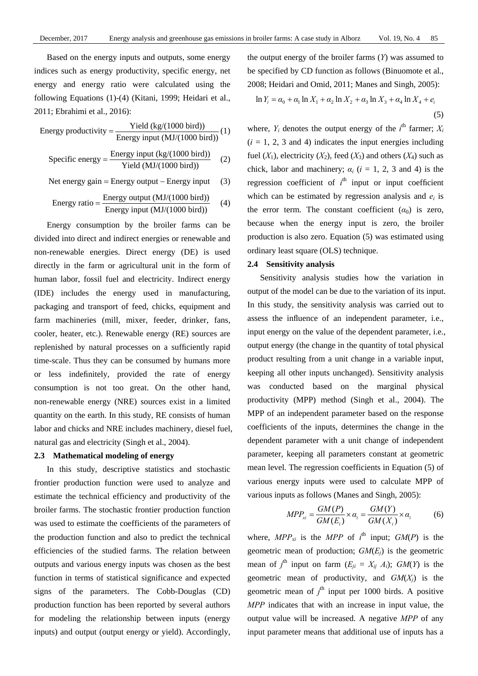Based on the energy inputs and outputs, some energy indices such as energy productivity, specific energy, net energy and energy ratio were calculated using the following Equations (1)-(4) (Kitani, 1999; Heidari et al., 2011; Ebrahimi et al., 2016):

Energy productivity = 
$$
\frac{\text{Yield (kg/(1000 bird))}}{\text{Energy input (MJ/(1000 bird))}}(1)
$$

Specific energy = 
$$
\frac{\text{Energy input (kg/(1000 bird))}}{\text{Yield (MJ/(1000 bird))}}
$$
 (2)

Net energy gain = Energy output  $-$  Energy input  $(3)$ 

Energy ratio = 
$$
\frac{\text{Energy output (MJ/(1000 bird))}}{\text{Energy input (MJ/(1000 bird))}}
$$
 (4)

Energy consumption by the broiler farms can be divided into direct and indirect energies or renewable and non-renewable energies. Direct energy (DE) is used directly in the farm or agricultural unit in the form of human labor, fossil fuel and electricity. Indirect energy (IDE) includes the energy used in manufacturing, packaging and transport of feed, chicks, equipment and farm machineries (mill, mixer, feeder, drinker, fans, cooler, heater, etc.). Renewable energy (RE) sources are replenished by natural processes on a sufficiently rapid time-scale. Thus they can be consumed by humans more or less indefinitely, provided the rate of energy consumption is not too great. On the other hand, non-renewable energy (NRE) sources exist in a limited quantity on the earth. In this study, RE consists of human labor and chicks and NRE includes machinery, diesel fuel, natural gas and electricity (Singh et al., 2004).

# **2.3 Mathematical modeling of energy**

In this study, descriptive statistics and stochastic frontier production function were used to analyze and estimate the technical efficiency and productivity of the broiler farms. The stochastic frontier production function was used to estimate the coefficients of the parameters of the production function and also to predict the technical efficiencies of the studied farms. The relation between outputs and various energy inputs was chosen as the best function in terms of statistical significance and expected signs of the parameters. The Cobb-Douglas (CD) production function has been reported by several authors for modeling the relationship between inputs (energy inputs) and output (output energy or yield). Accordingly,

the output energy of the broiler farms (*Y*) was assumed to be specified by CD function as follows (Binuomote et al., 2008; Heidari and Omid, 2011; Manes and Singh, 2005):

$$
\ln Y_i = \alpha_0 + \alpha_1 \ln X_1 + \alpha_2 \ln X_2 + \alpha_3 \ln X_3 + \alpha_4 \ln X_4 + e_i
$$
\n(5)

where,  $Y_i$  denotes the output energy of the  $i^{\text{th}}$  farmer;  $X_i$  $(i = 1, 2, 3$  and 4) indicates the input energies including fuel  $(X_1)$ , electricity  $(X_2)$ , feed  $(X_3)$  and others  $(X_4)$  such as chick, labor and machinery;  $\alpha_i$  ( $i = 1, 2, 3$  and 4) is the regression coefficient of  $i<sup>th</sup>$  input or input coefficient which can be estimated by regression analysis and  $e_i$  is the error term. The constant coefficient  $(\alpha_0)$  is zero, because when the energy input is zero, the broiler production is also zero. Equation (5) was estimated using ordinary least square (OLS) technique.

# **2.4 Sensitivity analysis**

Sensitivity analysis studies how the variation in output of the model can be due to the variation of its input. In this study, the sensitivity analysis was carried out to assess the influence of an independent parameter, i.e., input energy on the value of the dependent parameter, i.e., output energy (the change in the quantity of total physical product resulting from a unit change in a variable input, keeping all other inputs unchanged). Sensitivity analysis was conducted based on the marginal physical productivity (MPP) method (Singh et al., 2004). The MPP of an independent parameter based on the response coefficients of the inputs, determines the change in the dependent parameter with a unit change of independent parameter, keeping all parameters constant at geometric mean level. The regression coefficients in Equation (5) of various energy inputs were used to calculate MPP of various inputs as follows (Manes and Singh, 2005):

$$
MPP_{xi} = \frac{GM(P)}{GM(E_i)} \times \alpha_i = \frac{GM(Y)}{GM(X_i)} \times \alpha_i
$$
 (6)

where,  $MPP_{xi}$  is the  $MPP$  of  $i^{\text{th}}$  input;  $GM(P)$  is the geometric mean of production;  $GM(E<sub>i</sub>)$  is the geometric mean of  $j^{\text{th}}$  input on farm  $(E_{ji} = X_{ij} A_i)$ ;  $GM(Y)$  is the geometric mean of productivity, and *GM*(*Xj*) is the geometric mean of  $j<sup>th</sup>$  input per 1000 birds. A positive *MPP* indicates that with an increase in input value, the output value will be increased. A negative *MPP* of any input parameter means that additional use of inputs has a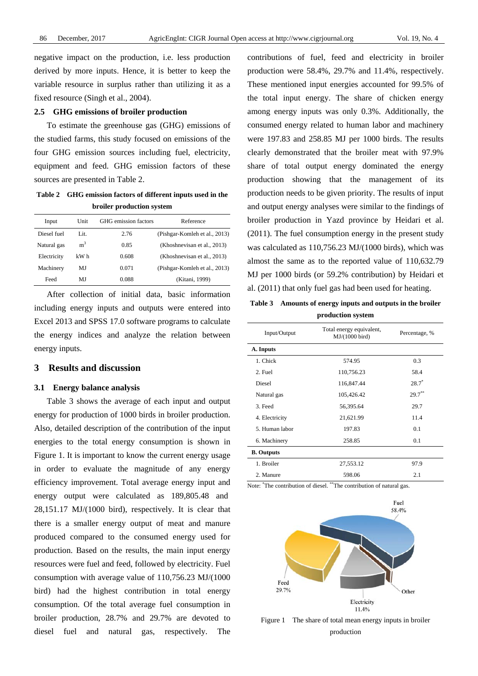negative impact on the production, i.e. less production derived by more inputs. Hence, it is better to keep the variable resource in surplus rather than utilizing it as a fixed resource (Singh et al., 2004).

# **2.5 GHG emissions of broiler production**

To estimate the greenhouse gas (GHG) emissions of the studied farms, this study focused on emissions of the four GHG emission sources including fuel, electricity, equipment and feed. GHG emission factors of these sources are presented in Table 2.

**Table 2 GHG emission factors of different inputs used in the broiler production system** 

| Input       | Unit           | GHG emission factors | Reference                     |
|-------------|----------------|----------------------|-------------------------------|
| Diesel fuel | Lit.           | 2.76                 | (Pishgar-Komleh et al., 2013) |
| Natural gas | m <sup>3</sup> | 0.85                 | (Khoshnevisan et al., 2013)   |
| Electricity | kW h           | 0.608                | (Khoshnevisan et al., 2013)   |
| Machinery   | MJ             | 0.071                | (Pishgar-Komleh et al., 2013) |
| Feed        | MJ             | 0.088                | (Kitani, 1999)                |

After collection of initial data, basic information including energy inputs and outputs were entered into Excel 2013 and SPSS 17.0 software programs to calculate the energy indices and analyze the relation between energy inputs.

# **3 Results and discussion**

#### **3.1 Energy balance analysis**

Table 3 shows the average of each input and output energy for production of 1000 birds in broiler production. Also, detailed description of the contribution of the input energies to the total energy consumption is shown in Figure 1. It is important to know the current energy usage in order to evaluate the magnitude of any energy efficiency improvement. Total average energy input and energy output were calculated as 189,805.48 and 28,151.17 MJ/(1000 bird), respectively. It is clear that there is a smaller energy output of meat and manure produced compared to the consumed energy used for production. Based on the results, the main input energy resources were fuel and feed, followed by electricity. Fuel consumption with average value of 110,756.23 MJ/(1000 bird) had the highest contribution in total energy consumption. Of the total average fuel consumption in broiler production, 28.7% and 29.7% are devoted to diesel fuel and natural gas, respectively. The contributions of fuel, feed and electricity in broiler production were 58.4%, 29.7% and 11.4%, respectively. These mentioned input energies accounted for 99.5% of the total input energy. The share of chicken energy among energy inputs was only 0.3%. Additionally, the consumed energy related to human labor and machinery were 197.83 and 258.85 MJ per 1000 birds. The results clearly demonstrated that the broiler meat with 97.9% share of total output energy dominated the energy production showing that the management of its production needs to be given priority. The results of input and output energy analyses were similar to the findings of broiler production in Yazd province by Heidari et al. (2011). The fuel consumption energy in the present study was calculated as 110,756.23 MJ/(1000 birds), which was almost the same as to the reported value of 110,632.79 MJ per 1000 birds (or 59.2% contribution) by Heidari et al. (2011) that only fuel gas had been used for heating.

**Table 3 Amounts of energy inputs and outputs in the broiler production system** 

| Input/Output      | Total energy equivalent,<br>$MJ/(1000$ bird) | Percentage, % |
|-------------------|----------------------------------------------|---------------|
| A. Inputs         |                                              |               |
| 1. Chick          | 574.95                                       | 0.3           |
| 2. Fuel           | 110,756.23                                   | 58.4          |
| Diesel            | 116,847.44                                   | $28.7^*$      |
| Natural gas       | 105,426.42                                   | $29.7***$     |
| 3. Feed           | 56,395.64                                    | 29.7          |
| 4. Electricity    | 21,621.99                                    | 11.4          |
| 5. Human labor    | 197.83                                       | 0.1           |
| 6. Machinery      | 258.85                                       | 0.1           |
| <b>B.</b> Outputs |                                              |               |
| 1. Broiler        | 27,553.12                                    | 97.9          |
| 2. Manure         | 598.06                                       | 2.1           |

Note: \* The contribution of diesel. \*\*The contribution of natural gas.



Figure 1 The share of total mean energy inputs in broiler production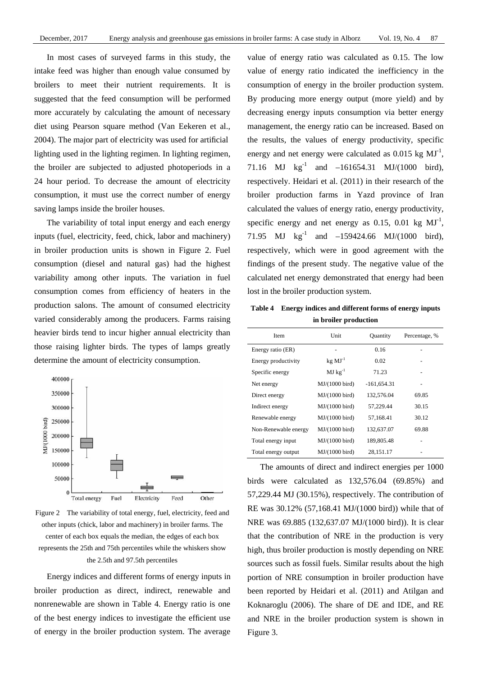In most cases of surveyed farms in this study, the intake feed was higher than enough value consumed by broilers to meet their nutrient requirements. It is suggested that the feed consumption will be performed more accurately by calculating the amount of necessary diet using Pearson square method (Van Eekeren et al., 2004). The major part of electricity was used for artificial lighting used in the lighting regimen. In lighting regimen, the broiler are subjected to adjusted photoperiods in a 24 hour period. To decrease the amount of electricity consumption, it must use the correct number of energy saving lamps inside the broiler houses.

The variability of total input energy and each energy inputs (fuel, electricity, feed, chick, labor and machinery) in broiler production units is shown in Figure 2. Fuel consumption (diesel and natural gas) had the highest variability among other inputs. The variation in fuel consumption comes from efficiency of heaters in the production salons. The amount of consumed electricity varied considerably among the producers. Farms raising heavier birds tend to incur higher annual electricity than those raising lighter birds. The types of lamps greatly determine the amount of electricity consumption.



Figure 2 The variability of total energy, fuel, electricity, feed and other inputs (chick, labor and machinery) in broiler farms. The center of each box equals the median, the edges of each box represents the 25th and 75th percentiles while the whiskers show the 2.5th and 97.5th percentiles

Energy indices and different forms of energy inputs in broiler production as direct, indirect, renewable and nonrenewable are shown in Table 4. Energy ratio is one of the best energy indices to investigate the efficient use of energy in the broiler production system. The average value of energy ratio was calculated as 0.15. The low value of energy ratio indicated the inefficiency in the consumption of energy in the broiler production system. By producing more energy output (more yield) and by decreasing energy inputs consumption via better energy management, the energy ratio can be increased. Based on the results, the values of energy productivity, specific energy and net energy were calculated as  $0.015 \text{ kg } \text{MJ}^{-1}$ , 71.16 MJ  $\text{kg}^{-1}$  and  $-161654.31$  MJ/(1000 bird), respectively. Heidari et al. (2011) in their research of the broiler production farms in Yazd province of Iran calculated the values of energy ratio, energy productivity, specific energy and net energy as 0.15, 0.01 kg  $MI<sup>-1</sup>$ , 71.95 MJ  $kg^{-1}$  and  $-159424.66$  MJ/(1000 bird), respectively, which were in good agreement with the findings of the present study. The negative value of the calculated net energy demonstrated that energy had been lost in the broiler production system.

**Table 4 Energy indices and different forms of energy inputs in broiler production** 

| Item                 | Unit                     | <b>Quantity</b> | Percentage, % |
|----------------------|--------------------------|-----------------|---------------|
| Energy ratio (ER)    |                          | 0.16            |               |
| Energy productivity  | $kg$ $MJ-1$              | 0.02            |               |
| Specific energy      | $MJ$ $kg^{-1}$           | 71.23           |               |
| Net energy           | MJ/(1000 bird)           | $-161,654.31$   |               |
| Direct energy        | $MJ/(1000 \text{ bird})$ | 132,576.04      | 69.85         |
| Indirect energy      | $MJ/(1000 \text{ bird})$ | 57,229.44       | 30.15         |
| Renewable energy     | $MJ/(1000 \text{ bird})$ | 57.168.41       | 30.12         |
| Non-Renewable energy | MJ/(1000 bird)           | 132,637.07      | 69.88         |
| Total energy input   | MJ/(1000 bird)           | 189,805.48      |               |
| Total energy output  | MJ/(1000 bird)           | 28,151.17       |               |

The amounts of direct and indirect energies per 1000 birds were calculated as 132,576.04 (69.85%) and 57,229.44 MJ (30.15%), respectively. The contribution of RE was 30.12% (57,168.41 MJ/(1000 bird)) while that of NRE was 69.885 (132,637.07 MJ/(1000 bird)). It is clear that the contribution of NRE in the production is very high, thus broiler production is mostly depending on NRE sources such as fossil fuels. Similar results about the high portion of NRE consumption in broiler production have been reported by Heidari et al. (2011) and Atilgan and Koknaroglu (2006). The share of DE and IDE, and RE and NRE in the broiler production system is shown in Figure 3.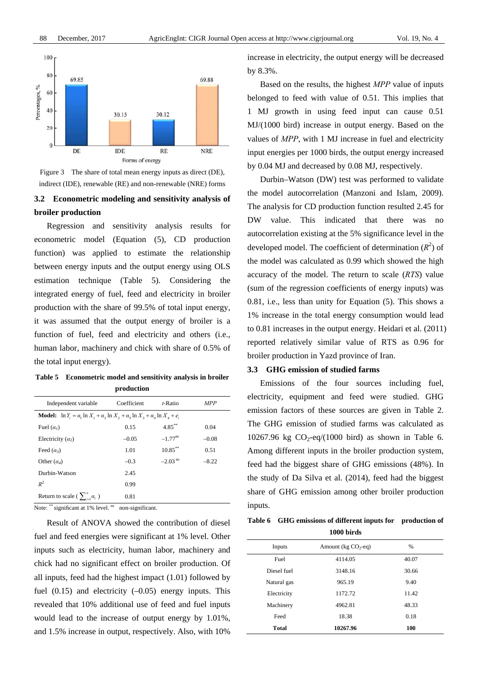

Figure 3 The share of total mean energy inputs as direct (DE), indirect (IDE), renewable (RE) and non-renewable (NRE) forms

# **3.2 Econometric modeling and sensitivity analysis of broiler production**

Regression and sensitivity analysis results for econometric model (Equation (5), CD production function) was applied to estimate the relationship between energy inputs and the output energy using OLS estimation technique (Table 5). Considering the integrated energy of fuel, feed and electricity in broiler production with the share of 99.5% of total input energy, it was assumed that the output energy of broiler is a function of fuel, feed and electricity and others (i.e., human labor, machinery and chick with share of 0.5% of the total input energy).

**Table 5 Econometric model and sensitivity analysis in broiler production** 

| Independent variable                                                                                      | Coefficient | $t$ -Ratio            | <b>MPP</b> |
|-----------------------------------------------------------------------------------------------------------|-------------|-----------------------|------------|
| <b>Model:</b> $\ln Y_i = \alpha_1 \ln X_1 + \alpha_2 \ln X_2 + \alpha_3 \ln X_3 + \alpha_4 \ln X_4 + e_i$ |             |                       |            |
| Fuel $(\alpha_1)$                                                                                         | 0.15        | $4.85***$             | 0.04       |
| Electricity $(a_2)$                                                                                       | $-0.05$     | $-1.77$ <sup>ns</sup> | $-0.08$    |
| Feed $(\alpha_3)$                                                                                         | 1.01        | $10.85***$            | 0.51       |
| Other $(\alpha_4)$                                                                                        | $-0.3$      | $-2.03$ <sup>ns</sup> | $-8.22$    |
| Durbin-Watson                                                                                             | 2.45        |                       |            |
| $R^2$                                                                                                     | 0.99        |                       |            |
| Return to scale ( $\sum_{i=1}^{n} \alpha_i$ )                                                             | 0.81        |                       |            |

Note:  $**$  significant at 1% level.  $^{ns}$  non-significant.

Result of ANOVA showed the contribution of diesel fuel and feed energies were significant at 1% level. Other inputs such as electricity, human labor, machinery and chick had no significant effect on broiler production. Of all inputs, feed had the highest impact (1.01) followed by fuel  $(0.15)$  and electricity  $(-0.05)$  energy inputs. This revealed that 10% additional use of feed and fuel inputs would lead to the increase of output energy by 1.01%, and 1.5% increase in output, respectively. Also, with 10%

increase in electricity, the output energy will be decreased by 8.3%.

Based on the results, the highest *MPP* value of inputs belonged to feed with value of 0.51. This implies that 1 MJ growth in using feed input can cause 0.51 MJ/(1000 bird) increase in output energy. Based on the values of *MPP*, with 1 MJ increase in fuel and electricity input energies per 1000 birds, the output energy increased by 0.04 MJ and decreased by 0.08 MJ, respectively.

Durbin–Watson (DW) test was performed to validate the model autocorrelation (Manzoni and Islam, 2009). The analysis for CD production function resulted 2.45 for DW value. This indicated that there was no autocorrelation existing at the 5% significance level in the developed model. The coefficient of determination  $(R^2)$  of the model was calculated as 0.99 which showed the high accuracy of the model. The return to scale (*RTS*) value (sum of the regression coefficients of energy inputs) was 0.81, i.e., less than unity for Equation (5). This shows a 1% increase in the total energy consumption would lead to 0.81 increases in the output energy. Heidari et al. (2011) reported relatively similar value of RTS as 0.96 for broiler production in Yazd province of Iran.

# **3.3 GHG emission of studied farms**

Emissions of the four sources including fuel, electricity, equipment and feed were studied. GHG emission factors of these sources are given in Table 2. The GHG emission of studied farms was calculated as 10267.96 kg  $CO_2$ -eq/(1000 bird) as shown in Table 6. Among different inputs in the broiler production system, feed had the biggest share of GHG emissions (48%). In the study of Da Silva et al. (2014), feed had the biggest share of GHG emission among other broiler production inputs.

**Table 6 GHG emissions of different inputs for production of 1000 birds** 

| Inputs      | Amount ( $kg CO2$ -eq) | $\frac{0}{0}$ |
|-------------|------------------------|---------------|
| Fuel        | 4114.05                | 40.07         |
| Diesel fuel | 3148.16                | 30.66         |
| Natural gas | 965.19                 | 9.40          |
| Electricity | 1172.72                | 11.42         |
| Machinery   | 4962.81                | 48.33         |
| Feed        | 18.38                  | 0.18          |
| Total       | 10267.96               | 100           |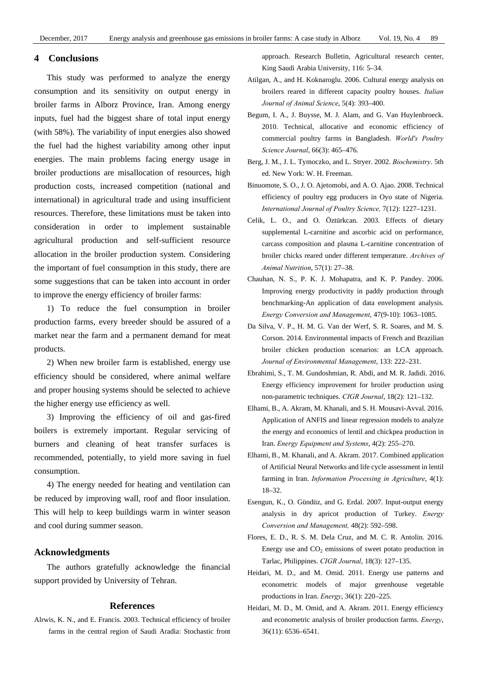# **4 Conclusions**

This study was performed to analyze the energy consumption and its sensitivity on output energy in broiler farms in Alborz Province, Iran. Among energy inputs, fuel had the biggest share of total input energy (with 58%). The variability of input energies also showed the fuel had the highest variability among other input energies. The main problems facing energy usage in broiler productions are misallocation of resources, high production costs, increased competition (national and international) in agricultural trade and using insufficient resources. Therefore, these limitations must be taken into consideration in order to implement sustainable agricultural production and self-sufficient resource allocation in the broiler production system. Considering the important of fuel consumption in this study, there are some suggestions that can be taken into account in order to improve the energy efficiency of broiler farms:

1) To reduce the fuel consumption in broiler production farms, every breeder should be assured of a market near the farm and a permanent demand for meat products.

2) When new broiler farm is established, energy use efficiency should be considered, where animal welfare and proper housing systems should be selected to achieve the higher energy use efficiency as well.

3) Improving the efficiency of oil and gas-fired boilers is extremely important. Regular servicing of burners and cleaning of heat transfer surfaces is recommended, potentially, to yield more saving in fuel consumption.

4) The energy needed for heating and ventilation can be reduced by improving wall, roof and floor insulation. This will help to keep buildings warm in winter season and cool during summer season.

# **Acknowledgments**

The authors gratefully acknowledge the financial support provided by University of Tehran.

# **References**

Alrwis, K. N., and E. Francis. 2003. Technical efficiency of broiler farms in the central region of Saudi Aradia: Stochastic front approach. Research Bulletin, Agricultural research center, King Saudi Arabia University, 116: 5–34.

- Atilgan, A., and H. Koknaroglu. 2006. Cultural energy analysis on broilers reared in different capacity poultry houses. *Italian Journal of Animal Science*, 5(4): 393–400.
- Begum, I. A., J. Buysse, M. J. Alam, and G. Van Huylenbroeck. 2010. Technical, allocative and economic efficiency of commercial poultry farms in Bangladesh. *World's Poultry Science Journal*, 66(3): 465–476.
- Berg, J. M., J. L. Tymoczko, and L. Stryer. 2002. *Biochemistry*. 5th ed. New York: W. H. Freeman.
- Binuomote, S. O., J. O. Ajetomobi, and A. O. Ajao. 2008. Technical efficiency of poultry egg producers in Oyo state of Nigeria. *International Journal of Poultry Science,* 7(12): 1227–1231.
- Celik, L. O., and O. Öztürkcan. 2003. Effects of dietary supplemental L-carnitine and ascorbic acid on performance, carcass composition and plasma L-carnitine concentration of broiler chicks reared under different temperature. *Archives of Animal Nutrition*, 57(1): 27–38.
- Chauhan, N. S., P. K. J. Mohapatra, and K. P. Pandey. 2006. Improving energy productivity in paddy production through benchmarking-An application of data envelopment analysis. *Energy Conversion and Management*, 47(9-10): 1063–1085.
- Da Silva, V. P., H. M. G. Van der Werf, S. R. Soares, and M. S. Corson. 2014. Environmental impacts of French and Brazilian broiler chicken production scenarios: an LCA approach. *Journal of Environmental Management*, 133: 222–231.
- Ebrahimi, S., T. M. Gundoshmian, R. Abdi, and M. R. Jadidi. 2016. Energy efficiency improvement for broiler production using non-parametric techniques. *CIGR Journal*, 18(2): 121–132.
- Elhami, B., A. Akram, M. Khanali, and S. H. Mousavi-Avval. 2016. Application of ANFIS and linear regression models to analyze the energy and economics of lentil and chickpea production in Iran. *Energy Equipment and Systems*, 4(2): 255–270.
- Elhami, B., M. Khanali, and A. Akram. 2017. Combined application of Artificial Neural Networks and life cycle assessment in lentil farming in Iran. *Information Processing in Agriculture*, 4(1): 18–32.
- Esengun, K., O. Gündüz, and G. Erdal. 2007. Input-output energy analysis in dry apricot production of Turkey. *Energy Conversion and Management,* 48(2): 592–598.
- Flores, E. D., R. S. M. Dela Cruz, and M. C. R. Antolin. 2016. Energy use and  $CO<sub>2</sub>$  emissions of sweet potato production in Tarlac, Philippines. *CIGR Journal*, 18(3): 127–135.
- Heidari, M. D., and M. Omid. 2011. Energy use patterns and econometric models of major greenhouse vegetable productions in Iran. *Energy*, 36(1): 220–225.
- Heidari, M. D., M. Omid, and A. Akram. 2011. Energy efficiency and econometric analysis of broiler production farms. *Energy*, 36(11): 6536–6541.